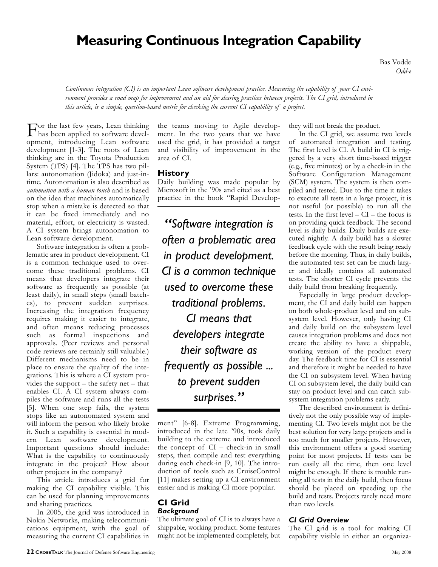# **Measuring Continuous Integration Capability**

Bas Vodde *Odd-e*

*Continuous integration (CI) is an important Lean software development practice. Measuring the capability of your CI environment provides a road map for improvement and an aid for sharing practices between projects. The CI grid, introduced in this article, is a simple, question-based metric for checking the current CI capability of a project.*

For the last few years, Lean thinking has been applied to software development, introducing Lean software development [1-3]. The roots of Lean thinking are in the Toyota Production System (TPS) [4]. The TPS has two pillars: autonomation (Jidoka) and just-intime. Autonomation is also described as *automation with a human touch* and is based on the idea that machines automatically stop when a mistake is detected so that it can be fixed immediately and no material, effort, or electricity is wasted. A CI system brings autonomation to Lean software development.

Software integration is often a problematic area in product development. CI is a common technique used to overcome these traditional problems. CI means that developers integrate their software as frequently as possible (at least daily), in small steps (small batches), to prevent sudden surprises. Increasing the integration frequency requires making it easier to integrate, and often means reducing processes such as formal inspections and approvals. (Peer reviews and personal code reviews are certainly still valuable.) Different mechanisms need to be in place to ensure the quality of the integrations. This is where a CI system provides the support – the safety net – that enables CI. A CI system always compiles the software and runs all the tests [5]. When one step fails, the system stops like an autonomated system and will inform the person who likely broke it. Such a capability is essential in modern Lean software development. Important questions should include: What is the capability to continuously integrate in the project? How about other projects in the company?

This article introduces a grid for making the CI capability visible. This can be used for planning improvements and sharing practices.

In 2005, the grid was introduced in Nokia Networks, making telecommunications equipment, with the goal of measuring the current CI capabilities in

the teams moving to Agile development. In the two years that we have used the grid, it has provided a target and visibility of improvement in the area of CI.

#### **History**

Daily building was made popular by Microsoft in the '90s and cited as a best practice in the book "Rapid Develop-

*"Software integration is often a problematic area in product development. CI is a common technique used to overcome these traditional problems. CI means that developers integrate their software as frequently as possible ... to prevent sudden surprises."*

ment" [6-8]. Extreme Programming, introduced in the late '90s, took daily building to the extreme and introduced the concept of CI – check-in in small steps, then compile and test everything during each check-in [9, 10]. The introduction of tools such as CruiseControl [11] makes setting up a CI environment easier and is making CI more popular.

#### **CI Grid** *Background*

The ultimate goal of CI is to always have a shippable, working product. Some features might not be implemented completely, but they will not break the product.

In the CI grid, we assume two levels of automated integration and testing. The first level is CI. A build in CI is triggered by a very short time-based trigger (e.g., five minutes) or by a check-in in the Software Configuration Management (SCM) system. The system is then compiled and tested. Due to the time it takes to execute all tests in a large project, it is not useful (or possible) to run all the tests. In the first level – CI – the focus is on providing quick feedback. The second level is daily builds. Daily builds are executed nightly. A daily build has a slower feedback cycle with the result being ready before the morning. Thus, in daily builds, the automated test set can be much larger and ideally contains all automated tests. The shorter CI cycle prevents the daily build from breaking frequently.

Especially in large product development, the CI and daily build can happen on both whole-product level and on subsystem level. However, only having CI and daily build on the subsystem level causes integration problems and does not create the ability to have a shippable, working version of the product every day. The feedback time for CI is essential and therefore it might be needed to have the CI on subsystem level. When having CI on subsystem level, the daily build can stay on product level and can catch subsystem integration problems early.

The described environment is definitively not the only possible way of implementing CI. Two levels might not be the best solution for very large projects and is too much for smaller projects. However, this environment offers a good starting point for most projects. If tests can be run easily all the time, then one level might be enough. If there is trouble running all tests in the daily build, then focus should be placed on speeding up the build and tests. Projects rarely need more than two levels.

#### *CI Grid Overview*

The CI grid is a tool for making CI capability visible in either an organiza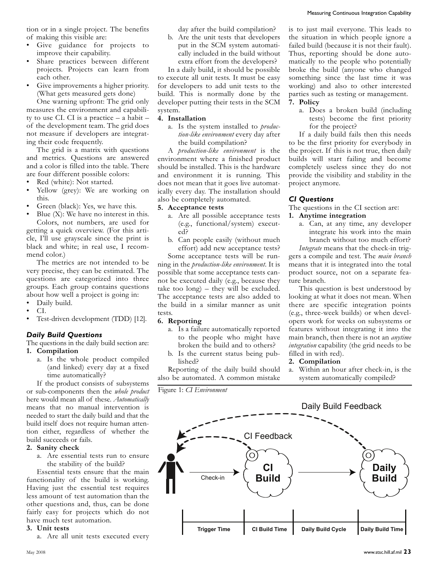tion or in a single project. The benefits of making this visible are:

- Give guidance for projects to improve their capability.
- Share practices between different projects. Projects can learn from each other.
- Give improvements a higher priority. (What gets measured gets done)

One warning upfront: The grid only measures the environment and capability to use CI. CI is a practice  $-$  a habit  $$ of the development team. The grid does not measure if developers are integrating their code frequently.

The grid is a matrix with questions and metrics. Questions are answered and a color is filled into the table. There are four different possible colors:

- Red (white): Not started.
- Yellow (grey): We are working on this.
- Green (black): Yes, we have this.
- Blue  $(X)$ : We have no interest in this. Colors, not numbers, are used for getting a quick overview. (For this article, I'll use grayscale since the print is black and white; in real use, I recommend color.)

The metrics are not intended to be very precise, they can be estimated. The questions are categorized into three groups. Each group contains questions about how well a project is going in:

- Daily build.
- CI.
- Test-driven development (TDD) [12].

#### *Daily Build Questions*

The questions in the daily build section are: **1. Compilation**

a. Is the whole product compiled (and linked) every day at a fixed time automatically?

If the product consists of subsystems or sub-components then the *whole product* here would mean all of these. *Automatically* means that no manual intervention is needed to start the daily build and that the build itself does not require human attention either, regardless of whether the build succeeds or fails.

#### **2. Sanity check**

a. Are essential tests run to ensure the stability of the build?

Essential tests ensure that the main functionality of the build is working. Having just the essential test requires less amount of test automation than the other questions and, thus, can be done fairly easy for projects which do not have much test automation.

#### **3. Unit tests**

a. Are all unit tests executed every

day after the build compilation?

b. Are the unit tests that developers put in the SCM system automatically included in the build without extra effort from the developers?

In a daily build, it should be possible to execute all unit tests. It must be easy for developers to add unit tests to the build. This is normally done by the developer putting their tests in the SCM system.

#### **4. Installation**

a. Is the system installed to *production-like environment* every day after the build compilation?

A *production-like environment* is the environment where a finished product should be installed. This is the hardware and environment it is running. This does not mean that it goes live automatically every day. The installation should also be completely automated.

#### **5. Acceptance tests**

- a. Are all possible acceptance tests (e.g., functional/system) executed?
- b. Can people easily (without much effort) add new acceptance tests?

Some acceptance tests will be running in the *production-like environment*. It is possible that some acceptance tests cannot be executed daily (e.g., because they take too long) – they will be excluded. The acceptance tests are also added to the build in a similar manner as unit tests.

#### **6. Reporting**

- a. Is a failure automatically reported to the people who might have broken the build and to others?
- b. Is the current status being published?

Reporting of the daily build should also be automated. A common mistake

is to just mail everyone. This leads to the situation in which people ignore a failed build (because it is not their fault). Thus, reporting should be done automatically to the people who potentially broke the build (anyone who changed something since the last time it was working) and also to other interested parties such as testing or management. **7. Policy**

a. Does a broken build (including tests) become the first priority for the project?

If a daily build fails then this needs to be the first priority for everybody in the project. If this is not true, then daily builds will start failing and become completely useless since they do not provide the visibility and stability in the project anymore.

#### *CI Questions*

The questions in the CI section are:

#### **1. Anytime integration**

a. Can, at any time, any developer integrate his work into the main branch without too much effort?

*Integrate* means that the check-in triggers a compile and test. The *main branch* means that it is integrated into the total product source, not on a separate feature branch.

This question is best understood by looking at what it does not mean. When there are specific integration points (e.g., three-week builds) or when developers work for weeks on subsystems or features without integrating it into the main branch, then there is not an *anytime integration* capability (the grid needs to be filled in with red).

#### **2. Compilation**

a. Within an hour after check-in, is the system automatically compiled?

Figure 1: *CI Environment*

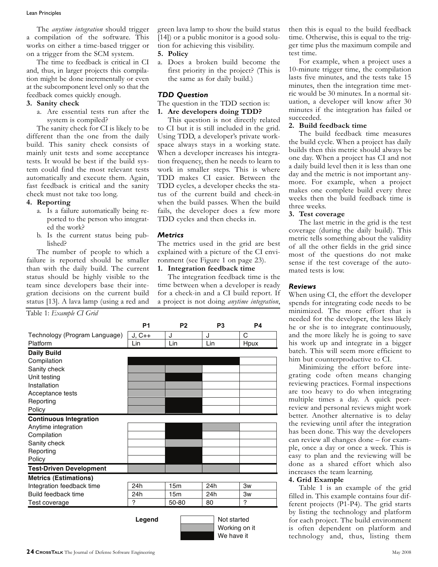The *anytime integration* should trigger a compilation of the software. This works on either a time-based trigger or on a trigger from the SCM system.

The time to feedback is critical in CI and, thus, in larger projects this compilation might be done incrementally or even at the subcomponent level only so that the feedback comes quickly enough.

#### **3. Sanity check**

a. Are essential tests run after the system is compiled?

The sanity check for CI is likely to be different than the one from the daily build. This sanity check consists of mainly unit tests and some acceptance tests. It would be best if the build system could find the most relevant tests automatically and execute them. Again, fast feedback is critical and the sanity check must not take too long.

#### **4. Reporting**

- a. Is a failure automatically being reported to the person who integrated the work?
- b. Is the current status being published?

green lava lamp to show the build status [14]) or a public monitor is a good solution for achieving this visibility.

#### **5. Policy**

a. Does a broken build become the first priority in the project? (This is the same as for daily build.)

#### *TDD Question*

#### The question in the TDD section is:

**1. Are developers doing TDD?**

This question is not directly related to CI but it is still included in the grid. Using TDD, a developer's private workspace always stays in a working state. When a developer increases his integration frequency, then he needs to learn to work in smaller steps. This is where TDD makes CI easier. Between the TDD cycles, a developer checks the status of the current build and check-in when the build passes. When the build fails, the developer does a few more TDD cycles and then checks in. **P 1 P 2 P 3 P 4**

#### *Metrics*

#### **1. Integration feedback time**

| tests. It would be best if the build sys-<br>tem could find the most relevant tests<br>automatically and execute them. Again,<br>fast feedback is critical and the sanity<br>check must not take too long.<br>4. Reporting<br>a. Is a failure automatically being re-<br>ported to the person who integrat-                                                                                 |          | tion frequency, then he needs to learn to<br>work in smaller steps. This is where<br>TDD makes CI easier. Between the<br>TDD cycles, a developer checks the sta<br>tus of the current build and check-in<br>when the build passes. When the build<br>fails, the developer does a few more<br>TDD cycles and then checks in.                           |                |           |  |
|---------------------------------------------------------------------------------------------------------------------------------------------------------------------------------------------------------------------------------------------------------------------------------------------------------------------------------------------------------------------------------------------|----------|-------------------------------------------------------------------------------------------------------------------------------------------------------------------------------------------------------------------------------------------------------------------------------------------------------------------------------------------------------|----------------|-----------|--|
| ed the work?<br>b. Is the current status being pub-<br>lished?<br>The number of people to which a<br>failure is reported should be smaller<br>than with the daily build. The current<br>status should be highly visible to the<br>team since developers base their inte-<br>gration decisions on the current build<br>status [13]. A lava lamp (using a red and<br>Table 1: Example CI Grid |          | <b>Metrics</b><br>The metrics used in the grid are bes<br>explained with a picture of the CI envi<br>ronment (see Figure 1 on page 23).<br>Integration feedback time<br>1.<br>The integration feedback time is the<br>time between when a developer is ready<br>for a check-in and a CI build report. I<br>a project is not doing anytime integration |                |           |  |
|                                                                                                                                                                                                                                                                                                                                                                                             | P1       | P <sub>2</sub>                                                                                                                                                                                                                                                                                                                                        | P <sub>3</sub> | <b>P4</b> |  |
| Technology (Program Language)                                                                                                                                                                                                                                                                                                                                                               | $J, C++$ | J                                                                                                                                                                                                                                                                                                                                                     | J              | C         |  |
| Platform                                                                                                                                                                                                                                                                                                                                                                                    | Lin      | Lin                                                                                                                                                                                                                                                                                                                                                   | Lin            | Hpux      |  |
| <b>Daily Build</b>                                                                                                                                                                                                                                                                                                                                                                          |          |                                                                                                                                                                                                                                                                                                                                                       |                |           |  |
| Compilation                                                                                                                                                                                                                                                                                                                                                                                 |          |                                                                                                                                                                                                                                                                                                                                                       |                |           |  |
| Sanity check                                                                                                                                                                                                                                                                                                                                                                                |          |                                                                                                                                                                                                                                                                                                                                                       |                |           |  |
| Unit testing                                                                                                                                                                                                                                                                                                                                                                                |          |                                                                                                                                                                                                                                                                                                                                                       |                |           |  |
| Installation                                                                                                                                                                                                                                                                                                                                                                                |          |                                                                                                                                                                                                                                                                                                                                                       |                |           |  |
| Acceptance tests                                                                                                                                                                                                                                                                                                                                                                            |          |                                                                                                                                                                                                                                                                                                                                                       |                |           |  |
| Reporting                                                                                                                                                                                                                                                                                                                                                                                   |          |                                                                                                                                                                                                                                                                                                                                                       |                |           |  |
| Policy                                                                                                                                                                                                                                                                                                                                                                                      |          |                                                                                                                                                                                                                                                                                                                                                       |                |           |  |
|                                                                                                                                                                                                                                                                                                                                                                                             |          |                                                                                                                                                                                                                                                                                                                                                       |                |           |  |
| Continuous Integration                                                                                                                                                                                                                                                                                                                                                                      |          |                                                                                                                                                                                                                                                                                                                                                       |                |           |  |
| Anytime integration                                                                                                                                                                                                                                                                                                                                                                         |          |                                                                                                                                                                                                                                                                                                                                                       |                |           |  |
| Compilation                                                                                                                                                                                                                                                                                                                                                                                 |          |                                                                                                                                                                                                                                                                                                                                                       |                |           |  |
| Sanity check                                                                                                                                                                                                                                                                                                                                                                                |          |                                                                                                                                                                                                                                                                                                                                                       |                |           |  |
| Reporting                                                                                                                                                                                                                                                                                                                                                                                   |          |                                                                                                                                                                                                                                                                                                                                                       |                |           |  |
| Policy                                                                                                                                                                                                                                                                                                                                                                                      |          |                                                                                                                                                                                                                                                                                                                                                       |                |           |  |
| <b>Test-Driven Development</b>                                                                                                                                                                                                                                                                                                                                                              |          |                                                                                                                                                                                                                                                                                                                                                       |                |           |  |
| <b>Metrics (Estimations)</b>                                                                                                                                                                                                                                                                                                                                                                |          |                                                                                                                                                                                                                                                                                                                                                       |                |           |  |
| Integration feedback time                                                                                                                                                                                                                                                                                                                                                                   | 24h      | 15m                                                                                                                                                                                                                                                                                                                                                   | 24h            | 3w        |  |
| Build feedback time                                                                                                                                                                                                                                                                                                                                                                         | 24h      | 15 <sub>m</sub>                                                                                                                                                                                                                                                                                                                                       | 24h            | Зw        |  |
| Test coverage                                                                                                                                                                                                                                                                                                                                                                               | 7        | 50-80                                                                                                                                                                                                                                                                                                                                                 | 80             | 2         |  |
| Legend<br>Not started<br>Working on it<br>We have it<br>24 CROSSTALK The Journal of Defense Software Engineering                                                                                                                                                                                                                                                                            |          |                                                                                                                                                                                                                                                                                                                                                       |                |           |  |
|                                                                                                                                                                                                                                                                                                                                                                                             |          |                                                                                                                                                                                                                                                                                                                                                       |                |           |  |

then this is equal to the build feedback time. Otherwise, this is equal to the trigger time plus the maximum compile and test time.

For example, when a project uses a 10-minute trigger time, the compilation lasts five minutes, and the tests take 15 minutes, then the integration time metric would be 30 minutes. In a normal situation, a developer will know after 30 minutes if the integration has failed or succeeded.

#### **2. Build feedback time**

The build feedback time measures the build cycle. When a project has daily builds then this metric should always be one day. When a project has CI and not a daily build level then it is less than one day and the metric is not important anymore. For example, when a project makes one complete build every three weeks then the build feedback time is three weeks.

#### **3. Test coverage**

The last metric in the grid is the test coverage (during the daily build). This metric tells something about the validity of all the other fields in the grid since most of the questions do not make sense if the test coverage of the automated tests is low.

#### *Reviews*

When using CI, the effort the developer spends for integrating code needs to be minimized. The more effort that is needed for the developer, the less likely he or she is to integrate continuously, and the more likely he is going to save his work up and integrate in a bigger batch. This will seem more efficient to him but counterproductive to CI.

Minimizing the effort before integrating code often means changing reviewing practices. Formal inspections are too heavy to do when integrating multiple times a day. A quick peerreview and personal reviews might work better. Another alternative is to delay the reviewing until after the integration has been done. This way the developers can review all changes done – for example, once a day or once a week. This is easy to plan and the reviewing will be done as a shared effort which also increases the team learning.

#### **4. Grid Example**

Table 1 is an example of the grid filled in. This example contains four different projects (P1-P4). The grid starts by listing the technology and platform for each project. The build environment is often dependent on platform and technology and, thus, listing them